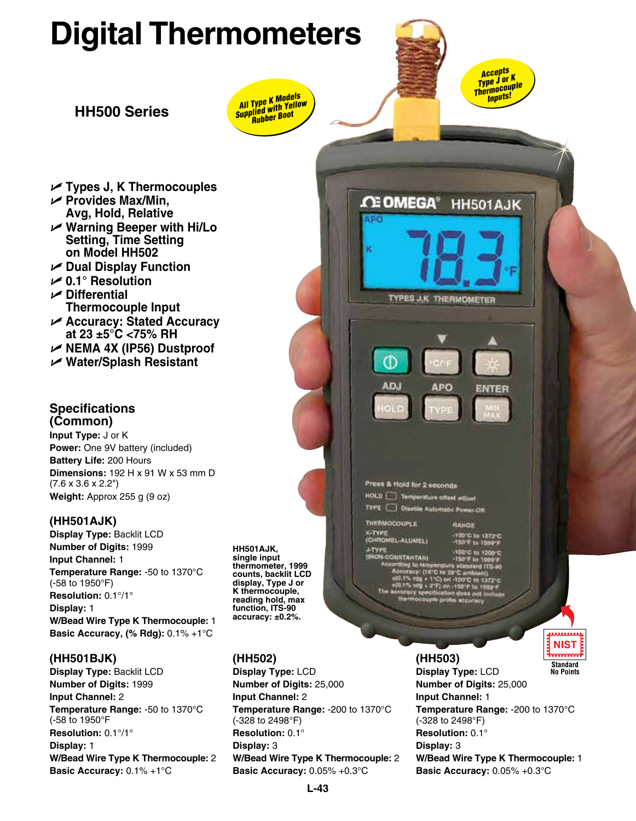# **Digital Thermometers**

**HH500 Series** *All Type K Models Supplied with Yellow*  All Type K Models<br><sup>Supplied</sup> with Yello<br><sup>Supplied</sup> with Boot

*Accepts Type J or K Thermocouple Inputs!*

HH501AJK

**ENTER** 

**ΩΞ OMEGA®** 

Œ

AD.

Press & Hold for 2 seconds **HOLD** Temperature offset ad **TYPE** Disable Automatic Power-Off

**ALUMEL** 

**K-TYPE** 

**TYPES J.K THERMOMETER** 

**APO** 

**BANCH** 

**VPIO** 

- U **Types J, K Thermocouples**
- U **Provides Max/Min, Avg, Hold, Relative**
- U **Warning Beeper with Hi/Lo Setting, Time Setting on Model HH502**
- U **Dual Display Function**
- U **0.1° Resolution**
- U **Differential Thermocouple Input**
- U **Accuracy: Stated Accuracy at 23 ±5°C <75% RH**
- U **NEMA 4X (IP56) Dustproof**
- U **Water/Splash Resistant**

### **Specifications (Common)**

**Input Type:** J or K **Power:** One 9V battery (included) **Battery Life:** 200 Hours **Dimensions:** 192 H x 91 W x 53 mm D (7.6 x 3.6 x 2.2") **Weight:** Approx 255 g (9 oz)

## **(HH501AJK)**

**Display Type:** Backlit LCD **Number of Digits:** 1999 **Input Channel:** 1 **Temperature Range:** -50 to 1370°C (-58 to 1950°F) **Resolution:** 0.1°/1° **Display:** 1 **W/Bead Wire Type K Thermocouple:** 1 **Basic Accuracy, (% Rdg):** 0.1% +1°C

## **(HH501BJK)**

**Display Type:** Backlit LCD **Number of Digits:** 1999 **Input Channel:** 2 **Temperature Range:** -50 to 1370°C (-58 to 1950°F **Resolution:** 0.1°/1° **Display:** 1 **W/Bead Wire Type K Thermocouple:** 2 **Basic Accuracy:** 0.1% +1°C



### **(HH502)**

**Display Type:** LCD **Number of Digits:** 25,000 **Input Channel:** 2 **Temperature Range:** -200 to 1370°C (-328 to 2498°F) **Resolution:** 0.1° **Display:** 3 **W/Bead Wire Type K Thermocouple:** 2 **Basic Accuracy:** 0.05% +0.3°C

. . . . . . . . . **(HH503) Standard Display Type:** LCD **No Points Number of Digits:** 25,000 **Input Channel:** 1 **Temperature Range:** -200 to 1370°C (-328 to 2498°F) **Resolution:** 0.1° **Display:** 3 **W/Bead Wire Type K Thermocouple:** 1 **Basic Accuracy:** 0.05% +0.3°C

**NIST**